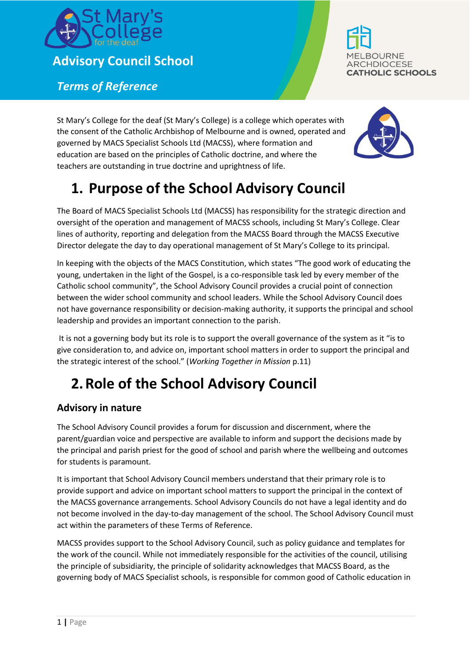

**Advisory Council School**

*Terms of Reference*

**BOURNE ARCHDIOCESE THOLIC SCHOOLS** 

St Mary's College for the deaf (St Mary's College) is a college which operates with the consent of the Catholic Archbishop of Melbourne and is owned, operated and governed by MACS Specialist Schools Ltd (MACSS), where formation and education are based on the principles of Catholic doctrine, and where the teachers are outstanding in true doctrine and uprightness of life.



# **1. Purpose of the School Advisory Council**

The Board of MACS Specialist Schools Ltd (MACSS) has responsibility for the strategic direction and oversight of the operation and management of MACSS schools, including St Mary's College. Clear lines of authority, reporting and delegation from the MACSS Board through the MACSS Executive Director delegate the day to day operational management of St Mary's College to its principal.

In keeping with the objects of the MACS Constitution, which states "The good work of educating the young, undertaken in the light of the Gospel, is a co-responsible task led by every member of the Catholic school community", the School Advisory Council provides a crucial point of connection between the wider school community and school leaders. While the School Advisory Council does not have governance responsibility or decision-making authority, it supports the principal and school leadership and provides an important connection to the parish.

It is not a governing body but its role is to support the overall governance of the system as it "is to give consideration to, and advice on, important school matters in order to support the principal and the strategic interest of the school." (*Working Together in Mission* p.11)

# **2.Role of the School Advisory Council**

### **Advisory in nature**

The School Advisory Council provides a forum for discussion and discernment, where the parent/guardian voice and perspective are available to inform and support the decisions made by the principal and parish priest for the good of school and parish where the wellbeing and outcomes for students is paramount.

It is important that School Advisory Council members understand that their primary role is to provide support and advice on important school matters to support the principal in the context of the MACSS governance arrangements. School Advisory Councils do not have a legal identity and do not become involved in the day-to-day management of the school. The School Advisory Council must act within the parameters of these Terms of Reference.

MACSS provides support to the School Advisory Council, such as policy guidance and templates for the work of the council. While not immediately responsible for the activities of the council, utilising the principle of subsidiarity, the principle of solidarity acknowledges that MACSS Board, as the governing body of MACS Specialist schools, is responsible for common good of Catholic education in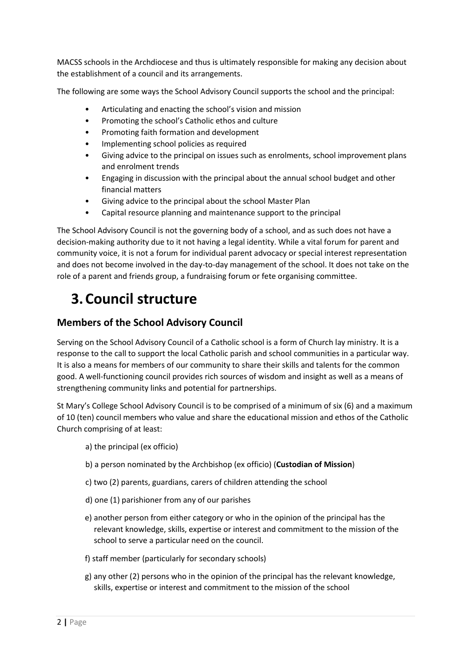MACSS schools in the Archdiocese and thus is ultimately responsible for making any decision about the establishment of a council and its arrangements.

The following are some ways the School Advisory Council supports the school and the principal:

- Articulating and enacting the school's vision and mission
- Promoting the school's Catholic ethos and culture
- Promoting faith formation and development
- Implementing school policies as required
- Giving advice to the principal on issues such as enrolments, school improvement plans and enrolment trends
- Engaging in discussion with the principal about the annual school budget and other financial matters
- Giving advice to the principal about the school Master Plan
- Capital resource planning and maintenance support to the principal

The School Advisory Council is not the governing body of a school, and as such does not have a decision-making authority due to it not having a legal identity. While a vital forum for parent and community voice, it is not a forum for individual parent advocacy or special interest representation and does not become involved in the day-to-day management of the school. It does not take on the role of a parent and friends group, a fundraising forum or fete organising committee.

## **3.Council structure**

### **Members of the School Advisory Council**

Serving on the School Advisory Council of a Catholic school is a form of Church lay ministry. It is a response to the call to support the local Catholic parish and school communities in a particular way. It is also a means for members of our community to share their skills and talents for the common good. A well-functioning council provides rich sources of wisdom and insight as well as a means of strengthening community links and potential for partnerships.

St Mary's College School Advisory Council is to be comprised of a minimum of six (6) and a maximum of 10 (ten) council members who value and share the educational mission and ethos of the Catholic Church comprising of at least:

- a) the principal (ex officio)
- b) a person nominated by the Archbishop (ex officio) (**Custodian of Mission**)
- c) two (2) parents, guardians, carers of children attending the school
- d) one (1) parishioner from any of our parishes
- e) another person from either category or who in the opinion of the principal has the relevant knowledge, skills, expertise or interest and commitment to the mission of the school to serve a particular need on the council.
- f) staff member (particularly for secondary schools)
- g) any other (2) persons who in the opinion of the principal has the relevant knowledge, skills, expertise or interest and commitment to the mission of the school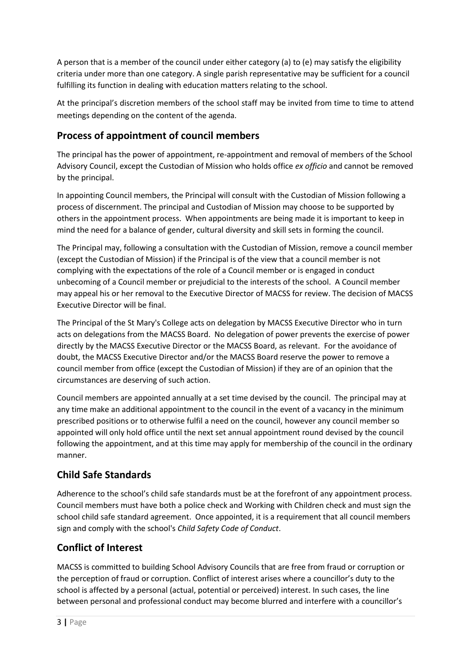A person that is a member of the council under either category (a) to (e) may satisfy the eligibility criteria under more than one category. A single parish representative may be sufficient for a council fulfilling its function in dealing with education matters relating to the school.

At the principal's discretion members of the school staff may be invited from time to time to attend meetings depending on the content of the agenda.

### **Process of appointment of council members**

The principal has the power of appointment, re-appointment and removal of members of the School Advisory Council, except the Custodian of Mission who holds office *ex officio* and cannot be removed by the principal.

In appointing Council members, the Principal will consult with the Custodian of Mission following a process of discernment. The principal and Custodian of Mission may choose to be supported by others in the appointment process. When appointments are being made it is important to keep in mind the need for a balance of gender, cultural diversity and skill sets in forming the council.

The Principal may, following a consultation with the Custodian of Mission, remove a council member (except the Custodian of Mission) if the Principal is of the view that a council member is not complying with the expectations of the role of a Council member or is engaged in conduct unbecoming of a Council member or prejudicial to the interests of the school. A Council member may appeal his or her removal to the Executive Director of MACSS for review. The decision of MACSS Executive Director will be final.

The Principal of the St Mary's College acts on delegation by MACSS Executive Director who in turn acts on delegations from the MACSS Board. No delegation of power prevents the exercise of power directly by the MACSS Executive Director or the MACSS Board, as relevant. For the avoidance of doubt, the MACSS Executive Director and/or the MACSS Board reserve the power to remove a council member from office (except the Custodian of Mission) if they are of an opinion that the circumstances are deserving of such action.

Council members are appointed annually at a set time devised by the council. The principal may at any time make an additional appointment to the council in the event of a vacancy in the minimum prescribed positions or to otherwise fulfil a need on the council, however any council member so appointed will only hold office until the next set annual appointment round devised by the council following the appointment, and at this time may apply for membership of the council in the ordinary manner.

### **Child Safe Standards**

Adherence to the school's child safe standards must be at the forefront of any appointment process. Council members must have both a police check and Working with Children check and must sign the school child safe standard agreement. Once appointed, it is a requirement that all council members sign and comply with the school's *Child Safety Code of Conduct*.

### **Conflict of Interest**

MACSS is committed to building School Advisory Councils that are free from fraud or corruption or the perception of fraud or corruption. Conflict of interest arises where a councillor's duty to the school is affected by a personal (actual, potential or perceived) interest. In such cases, the line between personal and professional conduct may become blurred and interfere with a councillor's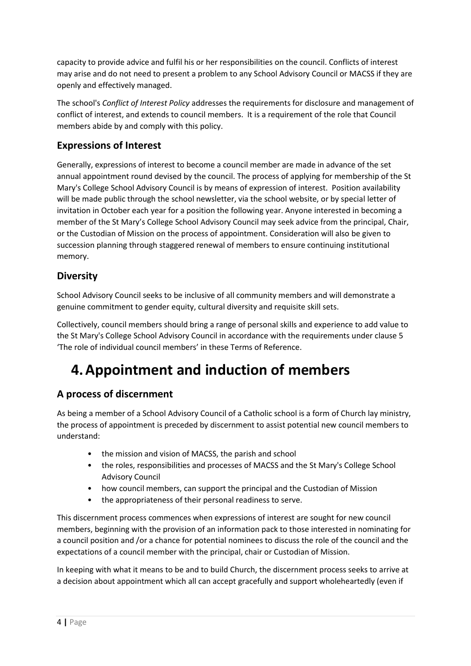capacity to provide advice and fulfil his or her responsibilities on the council. Conflicts of interest may arise and do not need to present a problem to any School Advisory Council or MACSS if they are openly and effectively managed.

The school's *Conflict of Interest Policy* addresses the requirements for disclosure and management of conflict of interest, and extends to council members. It is a requirement of the role that Council members abide by and comply with this policy.

### **Expressions of Interest**

Generally, expressions of interest to become a council member are made in advance of the set annual appointment round devised by the council. The process of applying for membership of the St Mary's College School Advisory Council is by means of expression of interest. Position availability will be made public through the school newsletter, via the school website, or by special letter of invitation in October each year for a position the following year. Anyone interested in becoming a member of the St Mary's College School Advisory Council may seek advice from the principal, Chair, or the Custodian of Mission on the process of appointment. Consideration will also be given to succession planning through staggered renewal of members to ensure continuing institutional memory.

#### **Diversity**

School Advisory Council seeks to be inclusive of all community members and will demonstrate a genuine commitment to gender equity, cultural diversity and requisite skill sets.

Collectively, council members should bring a range of personal skills and experience to add value to the St Mary's College School Advisory Council in accordance with the requirements under clause 5 'The role of individual council members' in these Terms of Reference.

## **4.Appointment and induction of members**

### **A process of discernment**

As being a member of a School Advisory Council of a Catholic school is a form of Church lay ministry, the process of appointment is preceded by discernment to assist potential new council members to understand:

- the mission and vision of MACSS, the parish and school
- the roles, responsibilities and processes of MACSS and the St Mary's College School Advisory Council
- how council members, can support the principal and the Custodian of Mission
- the appropriateness of their personal readiness to serve.

This discernment process commences when expressions of interest are sought for new council members, beginning with the provision of an information pack to those interested in nominating for a council position and /or a chance for potential nominees to discuss the role of the council and the expectations of a council member with the principal, chair or Custodian of Mission.

In keeping with what it means to be and to build Church, the discernment process seeks to arrive at a decision about appointment which all can accept gracefully and support wholeheartedly (even if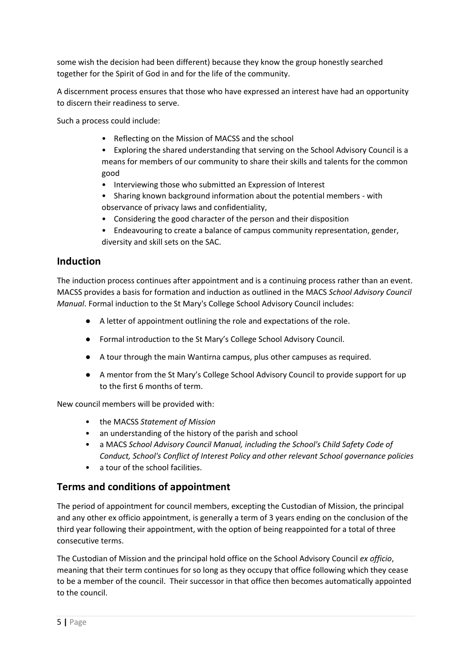some wish the decision had been different) because they know the group honestly searched together for the Spirit of God in and for the life of the community.

A discernment process ensures that those who have expressed an interest have had an opportunity to discern their readiness to serve.

Such a process could include:

- Reflecting on the Mission of MACSS and the school
- Exploring the shared understanding that serving on the School Advisory Council is a means for members of our community to share their skills and talents for the common good
- Interviewing those who submitted an Expression of Interest
- Sharing known background information about the potential members with observance of privacy laws and confidentiality,
- Considering the good character of the person and their disposition
- Endeavouring to create a balance of campus community representation, gender, diversity and skill sets on the SAC.

#### **Induction**

The induction process continues after appointment and is a continuing process rather than an event. MACSS provides a basis for formation and induction as outlined in the MACS *School Advisory Council Manual*. Formal induction to the St Mary's College School Advisory Council includes:

- A letter of appointment outlining the role and expectations of the role.
- Formal introduction to the St Mary's College School Advisory Council.
- A tour through the main Wantirna campus, plus other campuses as required.
- A mentor from the St Mary's College School Advisory Council to provide support for up to the first 6 months of term.

New council members will be provided with:

- the MACSS *Statement of Mission*
- an understanding of the history of the parish and school
- a MACS *School Advisory Council Manual, including the School's Child Safety Code of Conduct, School's Conflict of Interest Policy and other relevant School governance policies*
- a tour of the school facilities.

#### **Terms and conditions of appointment**

The period of appointment for council members, excepting the Custodian of Mission, the principal and any other ex officio appointment, is generally a term of 3 years ending on the conclusion of the third year following their appointment, with the option of being reappointed for a total of three consecutive terms.

The Custodian of Mission and the principal hold office on the School Advisory Council *ex officio*, meaning that their term continues for so long as they occupy that office following which they cease to be a member of the council. Their successor in that office then becomes automatically appointed to the council.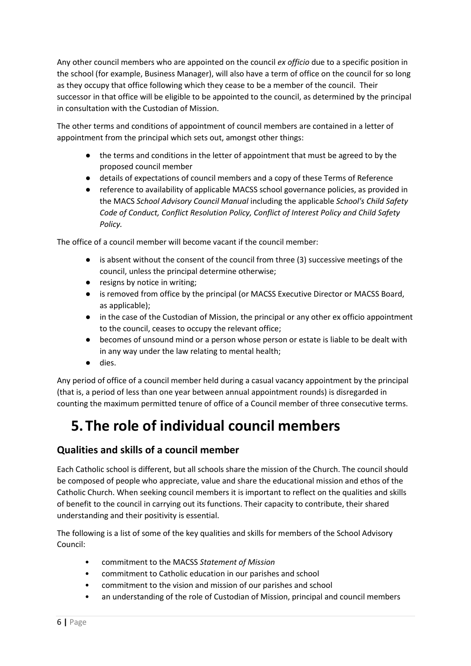Any other council members who are appointed on the council *ex officio* due to a specific position in the school (for example, Business Manager), will also have a term of office on the council for so long as they occupy that office following which they cease to be a member of the council. Their successor in that office will be eligible to be appointed to the council, as determined by the principal in consultation with the Custodian of Mission.

The other terms and conditions of appointment of council members are contained in a letter of appointment from the principal which sets out, amongst other things:

- the terms and conditions in the letter of appointment that must be agreed to by the proposed council member
- details of expectations of council members and a copy of these Terms of Reference
- reference to availability of applicable MACSS school governance policies, as provided in the MACS *School Advisory Council Manual* including the applicable *School's Child Safety Code of Conduct, Conflict Resolution Policy, Conflict of Interest Policy and Child Safety Policy.*

The office of a council member will become vacant if the council member:

- is absent without the consent of the council from three (3) successive meetings of the council, unless the principal determine otherwise;
- resigns by notice in writing;
- is removed from office by the principal (or MACSS Executive Director or MACSS Board, as applicable);
- in the case of the Custodian of Mission, the principal or any other ex officio appointment to the council, ceases to occupy the relevant office;
- becomes of unsound mind or a person whose person or estate is liable to be dealt with in any way under the law relating to mental health;
- dies.

Any period of office of a council member held during a casual vacancy appointment by the principal (that is, a period of less than one year between annual appointment rounds) is disregarded in counting the maximum permitted tenure of office of a Council member of three consecutive terms.

# **5.The role of individual council members**

### **Qualities and skills of a council member**

Each Catholic school is different, but all schools share the mission of the Church. The council should be composed of people who appreciate, value and share the educational mission and ethos of the Catholic Church. When seeking council members it is important to reflect on the qualities and skills of benefit to the council in carrying out its functions. Their capacity to contribute, their shared understanding and their positivity is essential.

The following is a list of some of the key qualities and skills for members of the School Advisory Council:

- commitment to the MACSS *Statement of Mission*
- commitment to Catholic education in our parishes and school
- commitment to the vision and mission of our parishes and school
- an understanding of the role of Custodian of Mission, principal and council members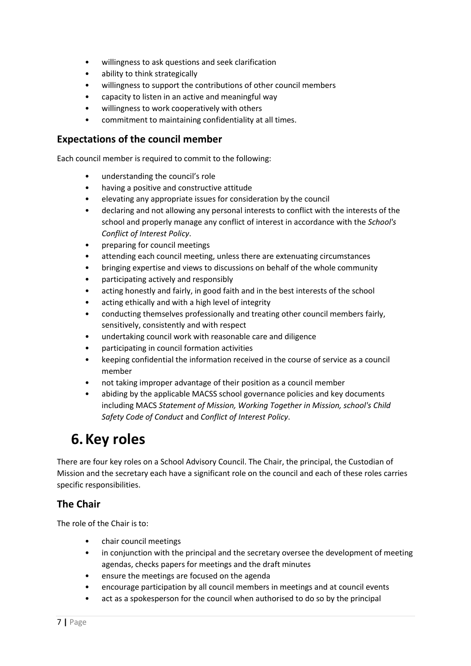- willingness to ask questions and seek clarification
- ability to think strategically
- willingness to support the contributions of other council members
- capacity to listen in an active and meaningful way
- willingness to work cooperatively with others
- commitment to maintaining confidentiality at all times.

#### **Expectations of the council member**

Each council member is required to commit to the following:

- understanding the council's role
- having a positive and constructive attitude
- elevating any appropriate issues for consideration by the council
- declaring and not allowing any personal interests to conflict with the interests of the school and properly manage any conflict of interest in accordance with the *School's Conflict of Interest Policy*.
- preparing for council meetings
- attending each council meeting, unless there are extenuating circumstances
- bringing expertise and views to discussions on behalf of the whole community
- participating actively and responsibly
- acting honestly and fairly, in good faith and in the best interests of the school
- acting ethically and with a high level of integrity
- conducting themselves professionally and treating other council members fairly, sensitively, consistently and with respect
- undertaking council work with reasonable care and diligence
- participating in council formation activities
- keeping confidential the information received in the course of service as a council member
- not taking improper advantage of their position as a council member
- abiding by the applicable MACSS school governance policies and key documents including MACS *Statement of Mission, Working Together in Mission, school's Child Safety Code of Conduct* and *Conflict of Interest Policy*.

## **6.Key roles**

There are four key roles on a School Advisory Council. The Chair, the principal, the Custodian of Mission and the secretary each have a significant role on the council and each of these roles carries specific responsibilities.

### **The Chair**

The role of the Chair is to:

- chair council meetings
- in conjunction with the principal and the secretary oversee the development of meeting agendas, checks papers for meetings and the draft minutes
- ensure the meetings are focused on the agenda
- encourage participation by all council members in meetings and at council events
- act as a spokesperson for the council when authorised to do so by the principal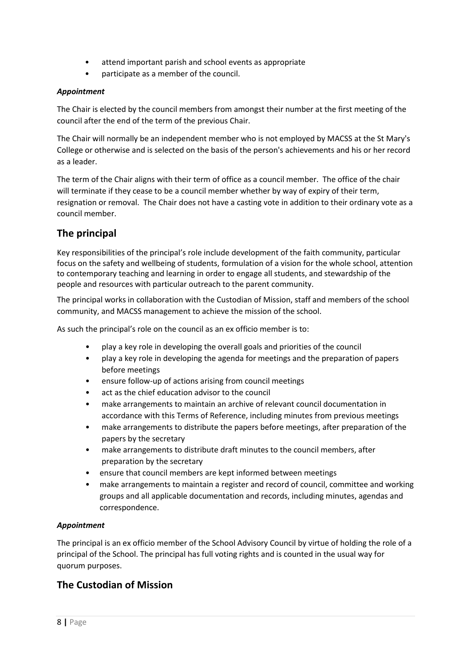- attend important parish and school events as appropriate
- participate as a member of the council.

#### *Appointment*

The Chair is elected by the council members from amongst their number at the first meeting of the council after the end of the term of the previous Chair.

The Chair will normally be an independent member who is not employed by MACSS at the St Mary's College or otherwise and is selected on the basis of the person's achievements and his or her record as a leader.

The term of the Chair aligns with their term of office as a council member. The office of the chair will terminate if they cease to be a council member whether by way of expiry of their term, resignation or removal. The Chair does not have a casting vote in addition to their ordinary vote as a council member.

#### **The principal**

Key responsibilities of the principal's role include development of the faith community, particular focus on the safety and wellbeing of students, formulation of a vision for the whole school, attention to contemporary teaching and learning in order to engage all students, and stewardship of the people and resources with particular outreach to the parent community.

The principal works in collaboration with the Custodian of Mission, staff and members of the school community, and MACSS management to achieve the mission of the school.

As such the principal's role on the council as an ex officio member is to:

- play a key role in developing the overall goals and priorities of the council
- play a key role in developing the agenda for meetings and the preparation of papers before meetings
- ensure follow-up of actions arising from council meetings
- act as the chief education advisor to the council
- make arrangements to maintain an archive of relevant council documentation in accordance with this Terms of Reference, including minutes from previous meetings
- make arrangements to distribute the papers before meetings, after preparation of the papers by the secretary
- make arrangements to distribute draft minutes to the council members, after preparation by the secretary
- ensure that council members are kept informed between meetings
- make arrangements to maintain a register and record of council, committee and working groups and all applicable documentation and records, including minutes, agendas and correspondence.

#### *Appointment*

The principal is an ex officio member of the School Advisory Council by virtue of holding the role of a principal of the School. The principal has full voting rights and is counted in the usual way for quorum purposes.

#### **The Custodian of Mission**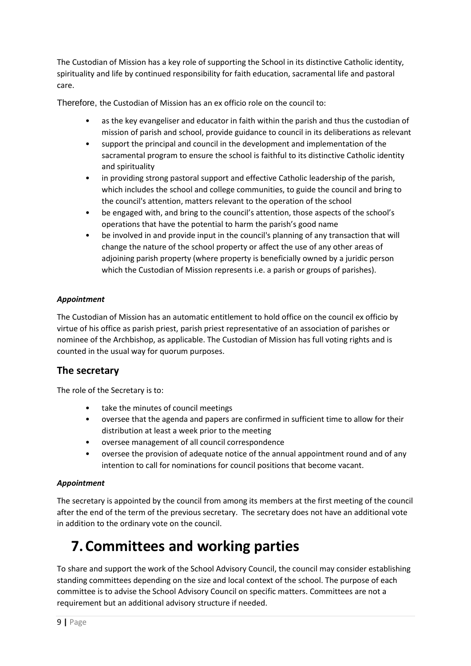The Custodian of Mission has a key role of supporting the School in its distinctive Catholic identity, spirituality and life by continued responsibility for faith education, sacramental life and pastoral care.

Therefore, the Custodian of Mission has an ex officio role on the council to:

- as the key evangeliser and educator in faith within the parish and thus the custodian of mission of parish and school, provide guidance to council in its deliberations as relevant
- support the principal and council in the development and implementation of the sacramental program to ensure the school is faithful to its distinctive Catholic identity and spirituality
- in providing strong pastoral support and effective Catholic leadership of the parish, which includes the school and college communities, to guide the council and bring to the council's attention, matters relevant to the operation of the school
- be engaged with, and bring to the council's attention, those aspects of the school's operations that have the potential to harm the parish's good name
- be involved in and provide input in the council's planning of any transaction that will change the nature of the school property or affect the use of any other areas of adjoining parish property (where property is beneficially owned by a juridic person which the Custodian of Mission represents i.e. a parish or groups of parishes).

#### *Appointment*

The Custodian of Mission has an automatic entitlement to hold office on the council ex officio by virtue of his office as parish priest, parish priest representative of an association of parishes or nominee of the Archbishop, as applicable. The Custodian of Mission has full voting rights and is counted in the usual way for quorum purposes.

#### **The secretary**

The role of the Secretary is to:

- take the minutes of council meetings
- oversee that the agenda and papers are confirmed in sufficient time to allow for their distribution at least a week prior to the meeting
- oversee management of all council correspondence
- oversee the provision of adequate notice of the annual appointment round and of any intention to call for nominations for council positions that become vacant.

#### *Appointment*

The secretary is appointed by the council from among its members at the first meeting of the council after the end of the term of the previous secretary. The secretary does not have an additional vote in addition to the ordinary vote on the council.

## **7.Committees and working parties**

To share and support the work of the School Advisory Council, the council may consider establishing standing committees depending on the size and local context of the school. The purpose of each committee is to advise the School Advisory Council on specific matters. Committees are not a requirement but an additional advisory structure if needed.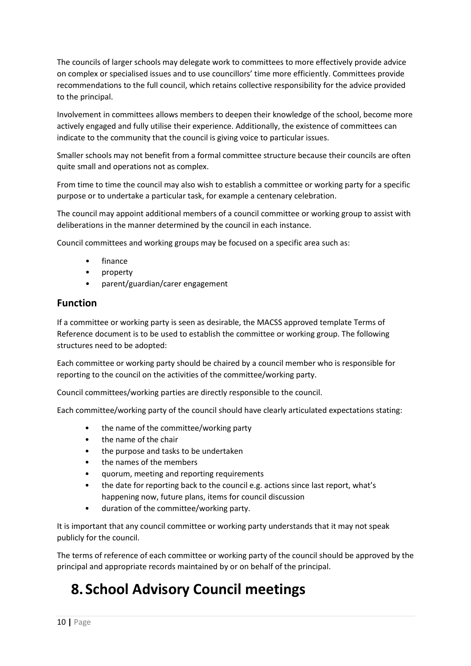The councils of larger schools may delegate work to committees to more effectively provide advice on complex or specialised issues and to use councillors' time more efficiently. Committees provide recommendations to the full council, which retains collective responsibility for the advice provided to the principal.

Involvement in committees allows members to deepen their knowledge of the school, become more actively engaged and fully utilise their experience. Additionally, the existence of committees can indicate to the community that the council is giving voice to particular issues.

Smaller schools may not benefit from a formal committee structure because their councils are often quite small and operations not as complex.

From time to time the council may also wish to establish a committee or working party for a specific purpose or to undertake a particular task, for example a centenary celebration.

The council may appoint additional members of a council committee or working group to assist with deliberations in the manner determined by the council in each instance.

Council committees and working groups may be focused on a specific area such as:

- finance
- property
- parent/guardian/carer engagement

#### **Function**

If a committee or working party is seen as desirable, the MACSS approved template Terms of Reference document is to be used to establish the committee or working group. The following structures need to be adopted:

Each committee or working party should be chaired by a council member who is responsible for reporting to the council on the activities of the committee/working party.

Council committees/working parties are directly responsible to the council.

Each committee/working party of the council should have clearly articulated expectations stating:

- the name of the committee/working party
- the name of the chair
- the purpose and tasks to be undertaken
- the names of the members
- quorum, meeting and reporting requirements
- the date for reporting back to the council e.g. actions since last report, what's happening now, future plans, items for council discussion
- duration of the committee/working party.

It is important that any council committee or working party understands that it may not speak publicly for the council.

The terms of reference of each committee or working party of the council should be approved by the principal and appropriate records maintained by or on behalf of the principal.

## **8. School Advisory Council meetings**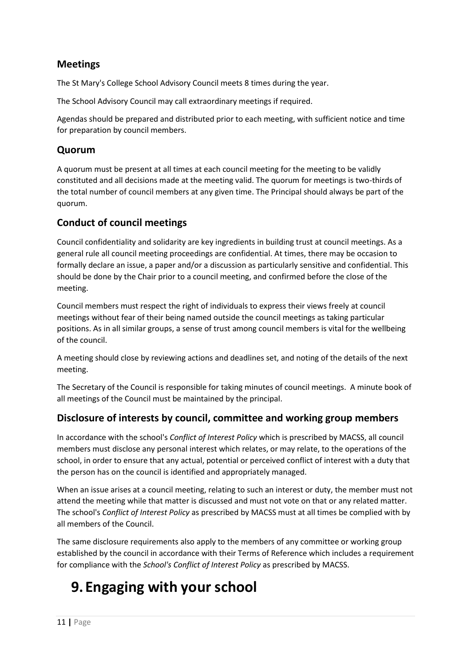### **Meetings**

The St Mary's College School Advisory Council meets 8 times during the year.

The School Advisory Council may call extraordinary meetings if required.

Agendas should be prepared and distributed prior to each meeting, with sufficient notice and time for preparation by council members.

#### **Quorum**

A quorum must be present at all times at each council meeting for the meeting to be validly constituted and all decisions made at the meeting valid. The quorum for meetings is two-thirds of the total number of council members at any given time. The Principal should always be part of the quorum.

### **Conduct of council meetings**

Council confidentiality and solidarity are key ingredients in building trust at council meetings. As a general rule all council meeting proceedings are confidential. At times, there may be occasion to formally declare an issue, a paper and/or a discussion as particularly sensitive and confidential. This should be done by the Chair prior to a council meeting, and confirmed before the close of the meeting.

Council members must respect the right of individuals to express their views freely at council meetings without fear of their being named outside the council meetings as taking particular positions. As in all similar groups, a sense of trust among council members is vital for the wellbeing of the council.

A meeting should close by reviewing actions and deadlines set, and noting of the details of the next meeting.

The Secretary of the Council is responsible for taking minutes of council meetings. A minute book of all meetings of the Council must be maintained by the principal.

### **Disclosure of interests by council, committee and working group members**

In accordance with the school's *Conflict of Interest Policy* which is prescribed by MACSS, all council members must disclose any personal interest which relates, or may relate, to the operations of the school, in order to ensure that any actual, potential or perceived conflict of interest with a duty that the person has on the council is identified and appropriately managed.

When an issue arises at a council meeting, relating to such an interest or duty, the member must not attend the meeting while that matter is discussed and must not vote on that or any related matter. The school's *Conflict of Interest Policy* as prescribed by MACSS must at all times be complied with by all members of the Council.

The same disclosure requirements also apply to the members of any committee or working group established by the council in accordance with their Terms of Reference which includes a requirement for compliance with the *School's Conflict of Interest Policy* as prescribed by MACSS.

## **9. Engaging with your school**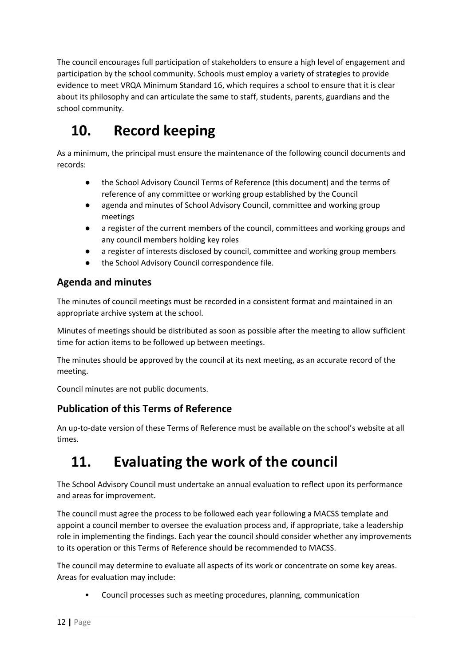The council encourages full participation of stakeholders to ensure a high level of engagement and participation by the school community. Schools must employ a variety of strategies to provide evidence to meet VRQA Minimum Standard 16, which requires a school to ensure that it is clear about its philosophy and can articulate the same to staff, students, parents, guardians and the school community.

# **10. Record keeping**

As a minimum, the principal must ensure the maintenance of the following council documents and records:

- the School Advisory Council Terms of Reference (this document) and the terms of reference of any committee or working group established by the Council
- agenda and minutes of School Advisory Council, committee and working group meetings
- a register of the current members of the council, committees and working groups and any council members holding key roles
- a register of interests disclosed by council, committee and working group members
- the School Advisory Council correspondence file.

### **Agenda and minutes**

The minutes of council meetings must be recorded in a consistent format and maintained in an appropriate archive system at the school.

Minutes of meetings should be distributed as soon as possible after the meeting to allow sufficient time for action items to be followed up between meetings.

The minutes should be approved by the council at its next meeting, as an accurate record of the meeting.

Council minutes are not public documents.

### **Publication of this Terms of Reference**

An up-to-date version of these Terms of Reference must be available on the school's website at all times.

# **11. Evaluating the work of the council**

The School Advisory Council must undertake an annual evaluation to reflect upon its performance and areas for improvement.

The council must agree the process to be followed each year following a MACSS template and appoint a council member to oversee the evaluation process and, if appropriate, take a leadership role in implementing the findings. Each year the council should consider whether any improvements to its operation or this Terms of Reference should be recommended to MACSS.

The council may determine to evaluate all aspects of its work or concentrate on some key areas. Areas for evaluation may include:

• Council processes such as meeting procedures, planning, communication